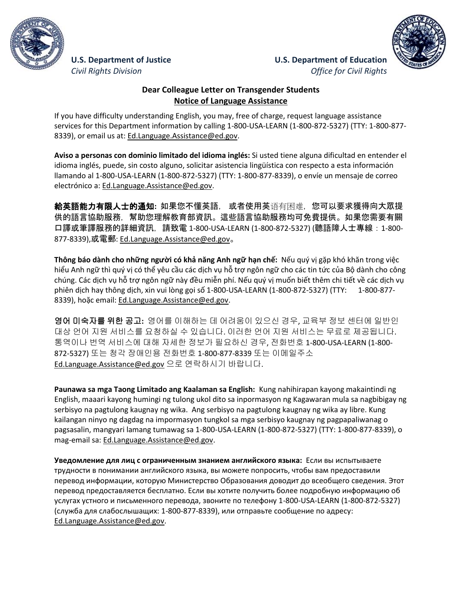

**U.S. Department of Justice**  *Civil Rights Division*



**U.S. Department of Education**  *Office for Civil Rights*

# **Dear Colleague Letter on Transgender Students Notice of Language Assistance**

If you have difficulty understanding English, you may, free of charge, request language assistance services for this Department information by calling 1-800-USA-LEARN (1-800-872-5327) (TTY: 1-800-877- 8339), or email us at: Ed.Language.Assistance@ed.gov.

**Aviso a personas con dominio limitado del idioma inglés:** Si usted tiene alguna dificultad en entender el idioma inglés, puede, sin costo alguno, solicitar asistencia lingüística con respecto a esta información llamando al 1-800-USA-LEARN (1-800-872-5327) (TTY: 1-800-877-8339), o envíe un mensaje de correo electrónico a: Ed.Language.Assistance@ed.gov.

給英語能力有限人士的通知**:** 如果您不懂英語, 或者使用英语有困难,您可以要求獲得向大眾提 供的語言協助服務,幫助您理解教育部資訊。這些語言協助服務均可免費提供。如果您需要有關 口譯或筆譯服務的詳細資訊,請致電 1-800-USA-LEARN (1-800-872-5327) (聽語障人士專線:1-800- 877-8339),或電郵: Ed.Language.Assistance@ed.gov。

**Thông báo dành cho những người có khả năng Anh ngữ hạn chế:** Nếu quý vị găp khó khăn trong việc hiểu Anh ngữ thì quý vị có thể yêu cầu các dịch vụ hỗ trợ ngôn ngữ cho các tin tưc của Bộ dành cho công chúng. Các dịch vụ hỗ trợ ngôn ngữ này đều miễn phí. Nếu quý vị muốn biết thêm chi tiết về các dịch vụ phiên dịch hay thông dịch, xin vui lòng gọi số 1-800-USA-LEARN (1-800-872-5327) (TTY: 1-800-877- 8339), hoặc email: Ed.Language.Assistance@ed.gov.

영어 미숙자를 위한 공고**:** 영어를 이해하는 데 어려움이 있으신 경우, 교육부 정보 센터에 일반인 대상 언어 지원 서비스를 요청하실 수 있습니다. 이러한 언어 지원 서비스는 무료로 제공됩니다. 통역이나 번역 서비스에 대해 자세한 정보가 필요하신 경우, 전화번호 1-800-USA-LEARN (1-800- 872-5327) 또는 청각 장애인용 전화번호 1-800-877-8339 또는 이메일주소 Ed.Language.Assistance@ed.gov 으로 연락하시기 바랍니다.

**Paunawa sa mga Taong Limitado ang Kaalaman sa English:** Kung nahihirapan kayong makaintindi ng English, maaari kayong humingi ng tulong ukol dito sa inpormasyon ng Kagawaran mula sa nagbibigay ng serbisyo na pagtulong kaugnay ng wika. Ang serbisyo na pagtulong kaugnay ng wika ay libre. Kung kailangan ninyo ng dagdag na impormasyon tungkol sa mga serbisyo kaugnay ng pagpapaliwanag o pagsasalin, mangyari lamang tumawag sa 1-800-USA-LEARN (1-800-872-5327) (TTY: 1-800-877-8339), o mag-email sa: Ed.Language.Assistance@ed.gov.

**Уведомление для лиц с ограниченным знанием английского языка:** Если вы испытываете трудности в понимании английского языка, вы можете попросить, чтобы вам предоставили перевод информации, которую Министерство Образования доводит до всеобщего сведения. Этот перевод предоставляется бесплатно. Если вы хотите получить более подробную информацию об услугах устного и письменного перевода, звоните по телефону 1-800-USA-LEARN (1-800-872-5327) (служба для слабослышащих: 1-800-877-8339), или отправьте сообщение по адресу: Ed.Language.Assistance@ed.gov.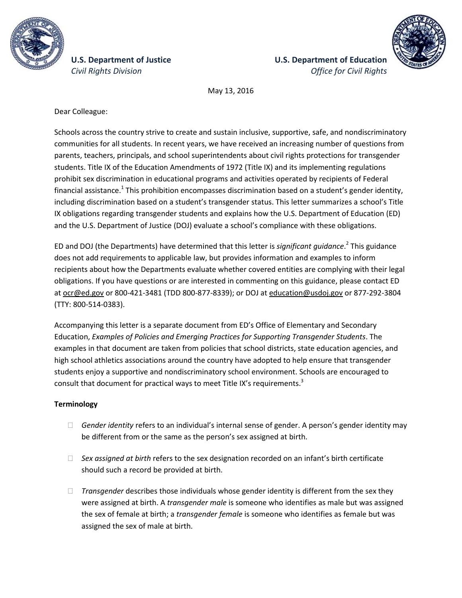

**U.S. Department of Justice**  *Civil Rights Division*



**U.S. Department of Education**  *Office for Civil Rights*

May 13, 2016

Dear Colleague:

Schools across the country strive to create and sustain inclusive, supportive, safe, and nondiscriminatory communities for all students. In recent years, we have received an increasing number of questions from parents, teachers, principals, and school superintendents about civil rights protections for transgender students. Title IX of the Education Amendments of 1972 (Title IX) and its implementing regulations prohibit sex discrimination in educational programs and activities operated by recipients of Federal financial assistance.<sup>1</sup> This prohibition encompasses discrimination based on a student's gender identity, including discrimination based on a student's transgender status. This letter summarizes a school's Title IX obligations regarding transgender students and explains how the U.S. Department of Education (ED) and the U.S. Department of Justice (DOJ) evaluate a school's compliance with these obligations.

ED and DOJ (the Departments) have determined that this letter is *significant guidance*.<sup>2</sup> This guidance does not add requirements to applicable law, but provides information and examples to inform recipients about how the Departments evaluate whether covered entities are complying with their legal obligations. If you have questions or are interested in commenting on this guidance, please contact ED at ocr@ed.gov or 800-421-3481 (TDD 800-877-8339); or DOJ at education@usdoj.gov or 877-292-3804 (TTY: 800-514-0383).

Accompanying this letter is a separate document from ED's Office of Elementary and Secondary Education, *Examples of Policies and Emerging Practices for Supporting Transgender Students*. The examples in that document are taken from policies that school districts, state education agencies, and high school athletics associations around the country have adopted to help ensure that transgender students enjoy a supportive and nondiscriminatory school environment. Schools are encouraged to consult that document for practical ways to meet Title IX's requirements. $3$ 

## **Terminology**

- *Gender identity* refers to an individual's internal sense of gender. A person's gender identity may be different from or the same as the person's sex assigned at birth.
- *Sex assigned at birth* refers to the sex designation recorded on an infant's birth certificate should such a record be provided at birth.
- □ Transgender describes those individuals whose gender identity is different from the sex they were assigned at birth. A *transgender male* is someone who identifies as male but was assigned the sex of female at birth; a *transgender female* is someone who identifies as female but was assigned the sex of male at birth.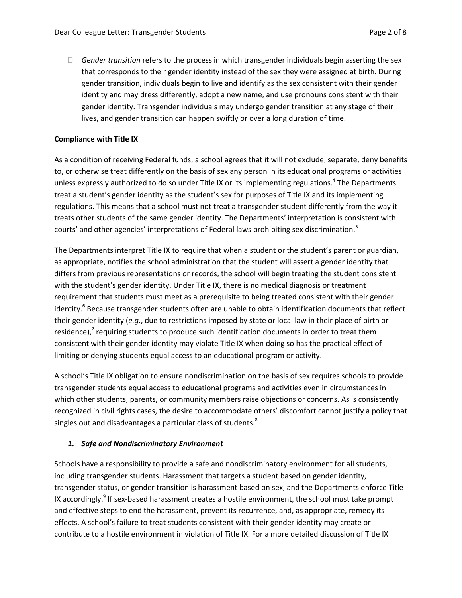*Gender transition* refers to the process in which transgender individuals begin asserting the sex that corresponds to their gender identity instead of the sex they were assigned at birth. During gender transition, individuals begin to live and identify as the sex consistent with their gender identity and may dress differently, adopt a new name, and use pronouns consistent with their gender identity. Transgender individuals may undergo gender transition at any stage of their lives, and gender transition can happen swiftly or over a long duration of time.

#### **Compliance with Title IX**

As a condition of receiving Federal funds, a school agrees that it will not exclude, separate, deny benefits to, or otherwise treat differently on the basis of sex any person in its educational programs or activities unless expressly authorized to do so under Title IX or its implementing regulations.<sup>4</sup> The Departments treat a student's gender identity as the student's sex for purposes of Title IX and its implementing regulations. This means that a school must not treat a transgender student differently from the way it treats other students of the same gender identity. The Departments' interpretation is consistent with courts' and other agencies' interpretations of Federal laws prohibiting sex discrimination.<sup>5</sup>

The Departments interpret Title IX to require that when a student or the student's parent or guardian, as appropriate, notifies the school administration that the student will assert a gender identity that differs from previous representations or records, the school will begin treating the student consistent with the student's gender identity. Under Title IX, there is no medical diagnosis or treatment requirement that students must meet as a prerequisite to being treated consistent with their gender identity.<sup>6</sup> Because transgender students often are unable to obtain identification documents that reflect their gender identity (*e.g.*, due to restrictions imposed by state or local law in their place of birth or residence),<sup>7</sup> requiring students to produce such identification documents in order to treat them consistent with their gender identity may violate Title IX when doing so has the practical effect of limiting or denying students equal access to an educational program or activity.

A school's Title IX obligation to ensure nondiscrimination on the basis of sex requires schools to provide transgender students equal access to educational programs and activities even in circumstances in which other students, parents, or community members raise objections or concerns. As is consistently recognized in civil rights cases, the desire to accommodate others' discomfort cannot justify a policy that singles out and disadvantages a particular class of students. $8$ 

#### *1. Safe and Nondiscriminatory Environment*

Schools have a responsibility to provide a safe and nondiscriminatory environment for all students, including transgender students. Harassment that targets a student based on gender identity, transgender status, or gender transition is harassment based on sex, and the Departments enforce Title IX accordingly. $9$  If sex-based harassment creates a hostile environment, the school must take prompt and effective steps to end the harassment, prevent its recurrence, and, as appropriate, remedy its effects. A school's failure to treat students consistent with their gender identity may create or contribute to a hostile environment in violation of Title IX. For a more detailed discussion of Title IX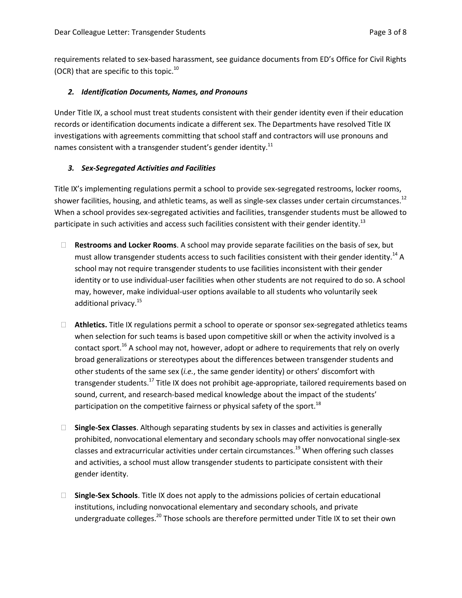requirements related to sex-based harassment, see guidance documents from ED's Office for Civil Rights (OCR) that are specific to this topic. $^{10}$ 

## *2. Identification Documents, Names, and Pronouns*

Under Title IX, a school must treat students consistent with their gender identity even if their education records or identification documents indicate a different sex. The Departments have resolved Title IX investigations with agreements committing that school staff and contractors will use pronouns and names consistent with a transgender student's gender identity.<sup>11</sup>

## *3. Sex-Segregated Activities and Facilities*

Title IX's implementing regulations permit a school to provide sex-segregated restrooms, locker rooms, shower facilities, housing, and athletic teams, as well as single-sex classes under certain circumstances.<sup>12</sup> When a school provides sex-segregated activities and facilities, transgender students must be allowed to participate in such activities and access such facilities consistent with their gender identity.<sup>13</sup>

- **Restrooms and Locker Rooms**. A school may provide separate facilities on the basis of sex, but must allow transgender students access to such facilities consistent with their gender identity.<sup>14</sup> A school may not require transgender students to use facilities inconsistent with their gender identity or to use individual-user facilities when other students are not required to do so. A school may, however, make individual-user options available to all students who voluntarily seek additional privacy.<sup>15</sup>
- **Athletics.** Title IX regulations permit a school to operate or sponsor sex-segregated athletics teams when selection for such teams is based upon competitive skill or when the activity involved is a contact sport.<sup>16</sup> A school may not, however, adopt or adhere to requirements that rely on overly broad generalizations or stereotypes about the differences between transgender students and other students of the same sex (*i.e.*, the same gender identity) or others' discomfort with transgender students.<sup>17</sup> Title IX does not prohibit age-appropriate, tailored requirements based on sound, current, and research-based medical knowledge about the impact of the students' participation on the competitive fairness or physical safety of the sport.<sup>18</sup>
- **Single-Sex Classes**. Although separating students by sex in classes and activities is generally prohibited, nonvocational elementary and secondary schools may offer nonvocational single-sex classes and extracurricular activities under certain circumstances.<sup>19</sup> When offering such classes and activities, a school must allow transgender students to participate consistent with their gender identity.
- **Single-Sex Schools**. Title IX does not apply to the admissions policies of certain educational institutions, including nonvocational elementary and secondary schools, and private undergraduate colleges.<sup>20</sup> Those schools are therefore permitted under Title IX to set their own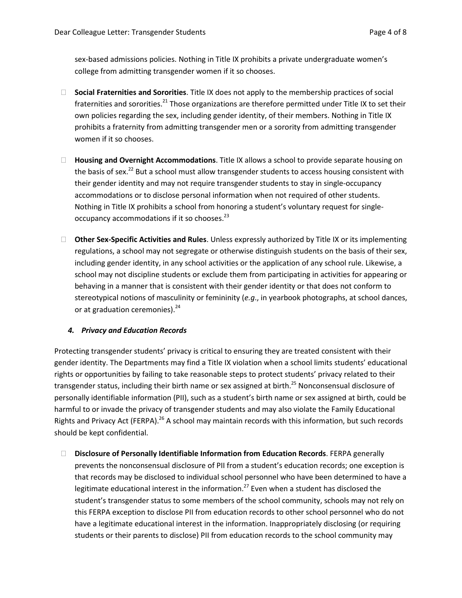sex-based admissions policies. Nothing in Title IX prohibits a private undergraduate women's college from admitting transgender women if it so chooses.

- **Social Fraternities and Sororities**. Title IX does not apply to the membership practices of social fraternities and sororities.<sup>21</sup> Those organizations are therefore permitted under Title IX to set their own policies regarding the sex, including gender identity, of their members. Nothing in Title IX prohibits a fraternity from admitting transgender men or a sorority from admitting transgender women if it so chooses.
- **Housing and Overnight Accommodations**. Title IX allows a school to provide separate housing on the basis of sex.<sup>22</sup> But a school must allow transgender students to access housing consistent with their gender identity and may not require transgender students to stay in single-occupancy accommodations or to disclose personal information when not required of other students. Nothing in Title IX prohibits a school from honoring a student's voluntary request for singleoccupancy accommodations if it so chooses.<sup>23</sup>
- **Other Sex-Specific Activities and Rules**. Unless expressly authorized by Title IX or its implementing regulations, a school may not segregate or otherwise distinguish students on the basis of their sex, including gender identity, in any school activities or the application of any school rule. Likewise, a school may not discipline students or exclude them from participating in activities for appearing or behaving in a manner that is consistent with their gender identity or that does not conform to stereotypical notions of masculinity or femininity (*e.g*., in yearbook photographs, at school dances, or at graduation ceremonies). $^{24}$

## *4. Privacy and Education Records*

Protecting transgender students' privacy is critical to ensuring they are treated consistent with their gender identity. The Departments may find a Title IX violation when a school limits students' educational rights or opportunities by failing to take reasonable steps to protect students' privacy related to their transgender status, including their birth name or sex assigned at birth.<sup>25</sup> Nonconsensual disclosure of personally identifiable information (PII), such as a student's birth name or sex assigned at birth, could be harmful to or invade the privacy of transgender students and may also violate the Family Educational Rights and Privacy Act (FERPA).<sup>26</sup> A school may maintain records with this information, but such records should be kept confidential.

 **Disclosure of Personally Identifiable Information from Education Records**. FERPA generally prevents the nonconsensual disclosure of PII from a student's education records; one exception is that records may be disclosed to individual school personnel who have been determined to have a legitimate educational interest in the information.<sup>27</sup> Even when a student has disclosed the student's transgender status to some members of the school community, schools may not rely on this FERPA exception to disclose PII from education records to other school personnel who do not have a legitimate educational interest in the information. Inappropriately disclosing (or requiring students or their parents to disclose) PII from education records to the school community may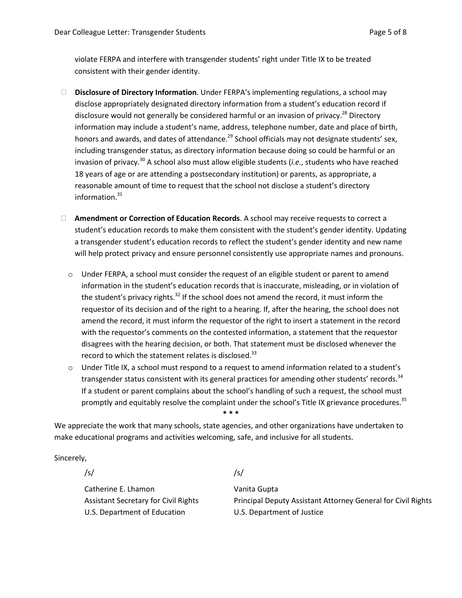violate FERPA and interfere with transgender students' right under Title IX to be treated consistent with their gender identity.

- **Disclosure of Directory Information**. Under FERPA's implementing regulations, a school may disclose appropriately designated directory information from a student's education record if disclosure would not generally be considered harmful or an invasion of privacy.<sup>28</sup> Directory information may include a student's name, address, telephone number, date and place of birth, honors and awards, and dates of attendance.<sup>29</sup> School officials may not designate students' sex, including transgender status, as directory information because doing so could be harmful or an invasion of privacy.30 A school also must allow eligible students (*i.e.*, students who have reached 18 years of age or are attending a postsecondary institution) or parents, as appropriate, a reasonable amount of time to request that the school not disclose a student's directory information. $31$
- **Amendment or Correction of Education Records**. A school may receive requests to correct a student's education records to make them consistent with the student's gender identity. Updating a transgender student's education records to reflect the student's gender identity and new name will help protect privacy and ensure personnel consistently use appropriate names and pronouns.
	- o Under FERPA, a school must consider the request of an eligible student or parent to amend information in the student's education records that is inaccurate, misleading, or in violation of the student's privacy rights.<sup>32</sup> If the school does not amend the record, it must inform the requestor of its decision and of the right to a hearing. If, after the hearing, the school does not amend the record, it must inform the requestor of the right to insert a statement in the record with the requestor's comments on the contested information, a statement that the requestor disagrees with the hearing decision, or both. That statement must be disclosed whenever the record to which the statement relates is disclosed. $^{33}$
	- $\circ$  Under Title IX, a school must respond to a request to amend information related to a student's transgender status consistent with its general practices for amending other students' records.<sup>34</sup> If a student or parent complains about the school's handling of such a request, the school must promptly and equitably resolve the complaint under the school's Title IX grievance procedures.<sup>35</sup> **\* \* \***

We appreciate the work that many schools, state agencies, and other organizations have undertaken to make educational programs and activities welcoming, safe, and inclusive for all students.

Sincerely,

/s/

Catherine E. Lhamon Assistant Secretary for Civil Rights U.S. Department of Education

/s/

Vanita Gupta Principal Deputy Assistant Attorney General for Civil Rights U.S. Department of Justice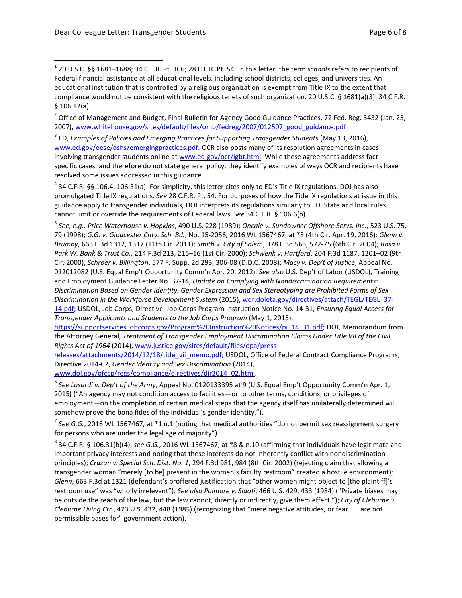<sup>2</sup> Office of Management and Budget, Final Bulletin for Agency Good Guidance Practices, 72 Fed. Reg. 3432 (Jan. 25, 2007), www.whitehouse.gov/sites/default/files/omb/fedreg/2007/012507\_good\_guidance.pdf.

<sup>3</sup> ED, *Examples of Policies and Emerging Practices for Supporting Transgender Students* (May 13, 2016), www.ed.gov/oese/oshs/emergingpractices.pdf. OCR also posts many of its resolution agreements in cases involving transgender students online at www.ed.gov/ocr/lgbt.html. While these agreements address factspecific cases, and therefore do not state general policy, they identify examples of ways OCR and recipients have resolved some issues addressed in this guidance.

 $4$  34 C.F.R. §§ 106.4, 106.31(a). For simplicity, this letter cites only to ED's Title IX regulations. DOJ has also promulgated Title IX regulations. *See* 28 C.F.R. Pt. 54. For purposes of how the Title IX regulations at issue in this guidance apply to transgender individuals, DOJ interprets its regulations similarly to ED. State and local rules cannot limit or override the requirements of Federal laws. *See* 34 C.F.R. § 106.6(b).

<sup>5</sup> *See, e.g., Price Waterhouse v. Hopkins*, 490 U.S. 228 (1989); *Oncale v. Sundowner Offshore Servs. Inc.*, 523 U.S. 75, 79 (1998); *G.G. v. Gloucester Cnty. Sch. Bd.*, No. 15-2056*,* 2016 WL 1567467, at \*8 (4th Cir. Apr. 19, 2016)*; Glenn v. Brumby*, 663 F.3d 1312, 1317 (11th Cir. 2011); *Smith v. City of Salem*, 378 F.3d 566, 572-75 (6th Cir. 2004); *Rosa v. Park W. Bank & Trust Co.*, 214 F.3d 213, 215–16 (1st Cir. 2000); *Schwenk v. Hartford*, 204 F.3d 1187, 1201–02 (9th Cir. 2000); *Schroer v. Billington*, 577 F. Supp. 2d 293, 306-08 (D.D.C. 2008); *Macy v. Dep't of Justice*, Appeal No. 012012082 (U.S. Equal Emp't Opportunity Comm'n Apr. 20, 2012). *See also* U.S. Dep't of Labor (USDOL), Training and Employment Guidance Letter No. 37-14, *Update on Complying with Nondiscrimination Requirements: Discrimination Based on Gender Identity, Gender Expression and Sex Stereotyping are Prohibited Forms of Sex Discrimination in the Workforce Development System* (2015), wdr.doleta.gov/directives/attach/TEGL/TEGL\_37- 14.pdf; USDOL, Job Corps, Directive: Job Corps Program Instruction Notice No. 14-31, *Ensuring Equal Access for Transgender Applicants and Students to the Job Corps Program* (May 1, 2015),

https://supportservices.jobcorps.gov/Program%20Instruction%20Notices/pi\_14\_31.pdf; DOJ, Memorandum from the Attorney General, *Treatment of Transgender Employment Discrimination Claims Under Title VII of the Civil Rights Act of 1964* (2014), www.justice.gov/sites/default/files/opa/press-

releases/attachments/2014/12/18/title\_vii\_memo.pdf; USDOL, Office of Federal Contract Compliance Programs, Directive 2014-02, *Gender Identity and Sex Discrimination* (2014),

www.dol.gov/ofccp/regs/compliance/directives/dir2014\_02.html.

<sup>6</sup> *See Lusardi v. Dep't of the Army*, Appeal No. 0120133395 at 9 (U.S. Equal Emp't Opportunity Comm'n Apr. 1, 2015) ("An agency may not condition access to facilities—or to other terms, conditions, or privileges of employment—on the completion of certain medical steps that the agency itself has unilaterally determined will somehow prove the bona fides of the individual's gender identity.").

<sup>7</sup> *See G.G.*, 2016 WL 1567467, at \*1 n.1 (noting that medical authorities "do not permit sex reassignment surgery for persons who are under the legal age of majority").

<sup>8</sup> 34 C.F.R. § 106.31(b)(4); *see G.G.*, 2016 WL 1567467, at \*8 & n.10 (affirming that individuals have legitimate and important privacy interests and noting that these interests do not inherently conflict with nondiscrimination principles); *Cruzan v. Special Sch. Dist. No. 1*, 294 F.3d 981, 984 (8th Cir. 2002) (rejecting claim that allowing a transgender woman "merely [to be] present in the women's faculty restroom" created a hostile environment); *Glenn*, 663 F.3d at 1321 (defendant's proffered justification that "other women might object to [the plaintiff]'s restroom use" was "wholly irrelevant"). *See also Palmore v. Sidoti*, 466 U.S. 429, 433 (1984) ("Private biases may be outside the reach of the law, but the law cannot, directly or indirectly, give them effect."); *City of Cleburne v. Cleburne Living Ctr*., 473 U.S. 432, 448 (1985) (recognizing that "mere negative attitudes, or fear . . . are not permissible bases for" government action).

<sup>1</sup> 20 U.S.C. §§ 1681–1688; 34 C.F.R. Pt. 106; 28 C.F.R. Pt. 54. In this letter, the term *schools* refers to recipients of Federal financial assistance at all educational levels, including school districts, colleges, and universities. An educational institution that is controlled by a religious organization is exempt from Title IX to the extent that compliance would not be consistent with the religious tenets of such organization. 20 U.S.C. § 1681(a)(3); 34 C.F.R. § 106.12(a).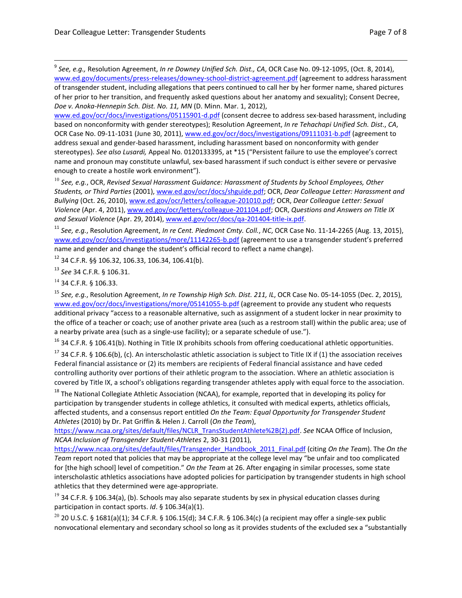9 *See, e.g.,* Resolution Agreement, *In re Downey Unified Sch. Dist., CA*, OCR Case No. 09-12-1095, (Oct. 8, 2014), www.ed.gov/documents/press-releases/downey-school-district-agreement.pdf (agreement to address harassment of transgender student, including allegations that peers continued to call her by her former name, shared pictures of her prior to her transition, and frequently asked questions about her anatomy and sexuality); Consent Decree, *Doe v. Anoka-Hennepin Sch. Dist. No. 11, MN* (D. Minn. Mar. 1, 2012),

www.ed.gov/ocr/docs/investigations/05115901-d.pdf (consent decree to address sex-based harassment, including based on nonconformity with gender stereotypes); Resolution Agreement, *In re Tehachapi Unified Sch. Dist*., *CA*, OCR Case No. 09-11-1031 (June 30, 2011), www.ed.gov/ocr/docs/investigations/09111031-b.pdf (agreement to address sexual and gender-based harassment, including harassment based on nonconformity with gender stereotypes). *See also Lusardi,* Appeal No. 0120133395, at \*15 ("Persistent failure to use the employee's correct name and pronoun may constitute unlawful, sex-based harassment if such conduct is either severe or pervasive enough to create a hostile work environment").

<sup>10</sup> *See, e.g.*, OCR, *Revised Sexual Harassment Guidance: Harassment of Students by School Employees, Other Students, or Third Parties* (2001), www.ed.gov/ocr/docs/shguide.pdf; OCR, *Dear Colleague Letter: Harassment and Bullying* (Oct. 26, 2010), www.ed.gov/ocr/letters/colleague-201010.pdf; OCR, *Dear Colleague Letter: Sexual Violence* (Apr. 4, 2011), www.ed.gov/ocr/letters/colleague-201104.pdf; OCR, *Questions and Answers on Title IX and Sexual Violence* (Apr. 29, 2014), www.ed.gov/ocr/docs/qa-201404-title-ix.pdf.

<sup>11</sup> *See, e.g.*, Resolution Agreement, *In re Cent. Piedmont Cmty. Coll.*, *NC*, OCR Case No. 11-14-2265 (Aug. 13, 2015), www.ed.gov/ocr/docs/investigations/more/11142265-b.pdf (agreement to use a transgender student's preferred name and gender and change the student's official record to reflect a name change).

<sup>12</sup> 34 C.F.R. §§ 106.32, 106.33, 106.34, 106.41(b).

<sup>13</sup> *See* 34 C.F.R. § 106.31.

<sup>14</sup> 34 C.F.R. § 106.33.

<sup>15</sup> *See, e.g.*, Resolution Agreement, *In re Township High Sch. Dist. 211, IL*, OCR Case No. 05-14-1055 (Dec. 2, 2015), www.ed.gov/ocr/docs/investigations/more/05141055-b.pdf (agreement to provide any student who requests additional privacy "access to a reasonable alternative, such as assignment of a student locker in near proximity to the office of a teacher or coach; use of another private area (such as a restroom stall) within the public area; use of a nearby private area (such as a single-use facility); or a separate schedule of use.").

 $16$  34 C.F.R. § 106.41(b). Nothing in Title IX prohibits schools from offering coeducational athletic opportunities.

 $17$  34 C.F.R. § 106.6(b), (c). An interscholastic athletic association is subject to Title IX if (1) the association receives Federal financial assistance or (2) its members are recipients of Federal financial assistance and have ceded controlling authority over portions of their athletic program to the association. Where an athletic association is covered by Title IX, a school's obligations regarding transgender athletes apply with equal force to the association.

<sup>18</sup> The National Collegiate Athletic Association (NCAA), for example, reported that in developing its policy for participation by transgender students in college athletics, it consulted with medical experts, athletics officials, affected students, and a consensus report entitled *On the Team: Equal Opportunity for Transgender Student Athletes* (2010) by Dr. Pat Griffin & Helen J. Carroll (*On the Team*),

https://www.ncaa.org/sites/default/files/NCLR\_TransStudentAthlete%2B(2).pdf. *See* NCAA Office of Inclusion, *NCAA Inclusion of Transgender Student-Athletes* 2, 30-31 (2011),

https://www.ncaa.org/sites/default/files/Transgender\_Handbook\_2011\_Final.pdf (citing *On the Team*). The *On the Team* report noted that policies that may be appropriate at the college level may "be unfair and too complicated for [the high school] level of competition." *On the Team* at 26. After engaging in similar processes, some state interscholastic athletics associations have adopted policies for participation by transgender students in high school athletics that they determined were age-appropriate.

 $19$  34 C.F.R. § 106.34(a), (b). Schools may also separate students by sex in physical education classes during participation in contact sports. *Id*. § 106.34(a)(1).

<sup>20</sup> 20 U.S.C. § 1681(a)(1); 34 C.F.R. § 106.15(d); 34 C.F.R. § 106.34(c) (a recipient may offer a single-sex public nonvocational elementary and secondary school so long as it provides students of the excluded sex a "substantially